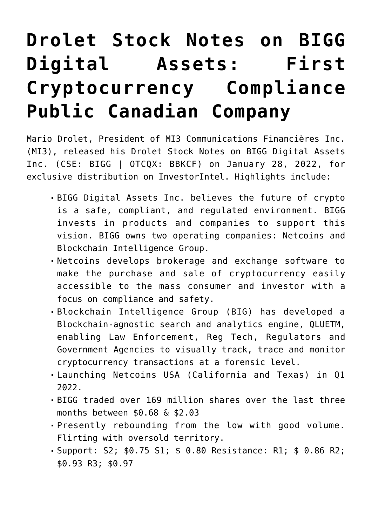## **[Drolet Stock Notes on BIGG](https://investorintel.com/markets/technology/technology-intel/drolet-stock-notes-on-bigg-digital-assets-first-cryptocurrency-compliance-public-canadian-company/) [Digital Assets: First](https://investorintel.com/markets/technology/technology-intel/drolet-stock-notes-on-bigg-digital-assets-first-cryptocurrency-compliance-public-canadian-company/) [Cryptocurrency Compliance](https://investorintel.com/markets/technology/technology-intel/drolet-stock-notes-on-bigg-digital-assets-first-cryptocurrency-compliance-public-canadian-company/) [Public Canadian Company](https://investorintel.com/markets/technology/technology-intel/drolet-stock-notes-on-bigg-digital-assets-first-cryptocurrency-compliance-public-canadian-company/)**

Mario Drolet, President of MI3 Communications Financières Inc. (MI3), released his Drolet Stock Notes on [BIGG Digital Assets](https://biggdigitalassets.com/) [Inc.](https://biggdigitalassets.com/) (CSE: BIGG | OTCQX: BBKCF) on January 28, 2022, for exclusive distribution on InvestorIntel. Highlights include:

- BIGG Digital Assets Inc. believes the future of crypto is a safe, compliant, and regulated environment. BIGG invests in products and companies to support this vision. BIGG owns two operating companies: Netcoins and Blockchain Intelligence Group.
- Netcoins develops brokerage and exchange software to make the purchase and sale of cryptocurrency easily accessible to the mass consumer and investor with a focus on compliance and safety.
- Blockchain Intelligence Group (BIG) has developed a Blockchain-agnostic search and analytics engine, QLUETM, enabling Law Enforcement, Reg Tech, Regulators and Government Agencies to visually track, trace and monitor cryptocurrency transactions at a forensic level.
- Launching Netcoins USA (California and Texas) in Q1 2022.
- BIGG traded over 169 million shares over the last three months between \$0.68 & \$2.03
- Presently rebounding from the low with good volume. Flirting with oversold territory.
- Support: S2; \$0.75 S1; \$ 0.80 Resistance: R1; \$ 0.86 R2; \$0.93 R3; \$0.97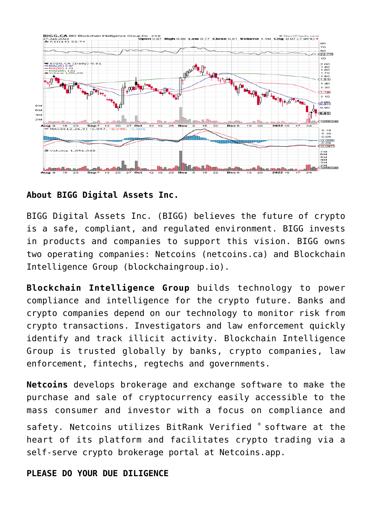

## **About BIGG Digital Assets Inc.**

BIGG Digital Assets Inc. (BIGG) believes the future of crypto is a safe, compliant, and regulated environment. BIGG invests in products and companies to support this vision. BIGG owns two operating companies: Netcoins (netcoins.ca) and Blockchain Intelligence Group (blockchaingroup.io).

**Blockchain Intelligence Group** builds technology to power compliance and intelligence for the crypto future. Banks and crypto companies depend on our technology to monitor risk from crypto transactions. Investigators and law enforcement quickly identify and track illicit activity. Blockchain Intelligence Group is trusted globally by banks, crypto companies, law enforcement, fintechs, regtechs and governments.

**Netcoins** develops brokerage and exchange software to make the purchase and sale of cryptocurrency easily accessible to the mass consumer and investor with a focus on compliance and

safety. Netcoins utilizes BitRank Verified ® software at the heart of its platform and facilitates crypto trading via a self-serve crypto brokerage portal at Netcoins.app.

## **PLEASE DO YOUR DUE DILIGENCE**